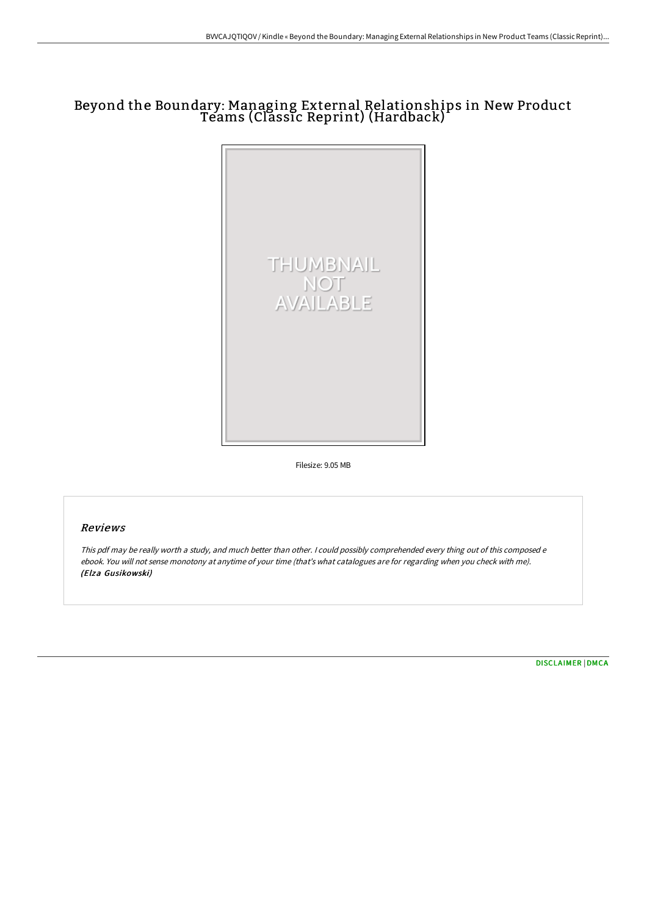# Beyond the Boundary: Managing External Relationships in New Product Teams (Classic Reprint) (Hardback)



Filesize: 9.05 MB

# Reviews

This pdf may be really worth <sup>a</sup> study, and much better than other. <sup>I</sup> could possibly comprehended every thing out of this composed <sup>e</sup> ebook. You will not sense monotony at anytime of your time (that's what catalogues are for regarding when you check with me). (Elza Gusikowski)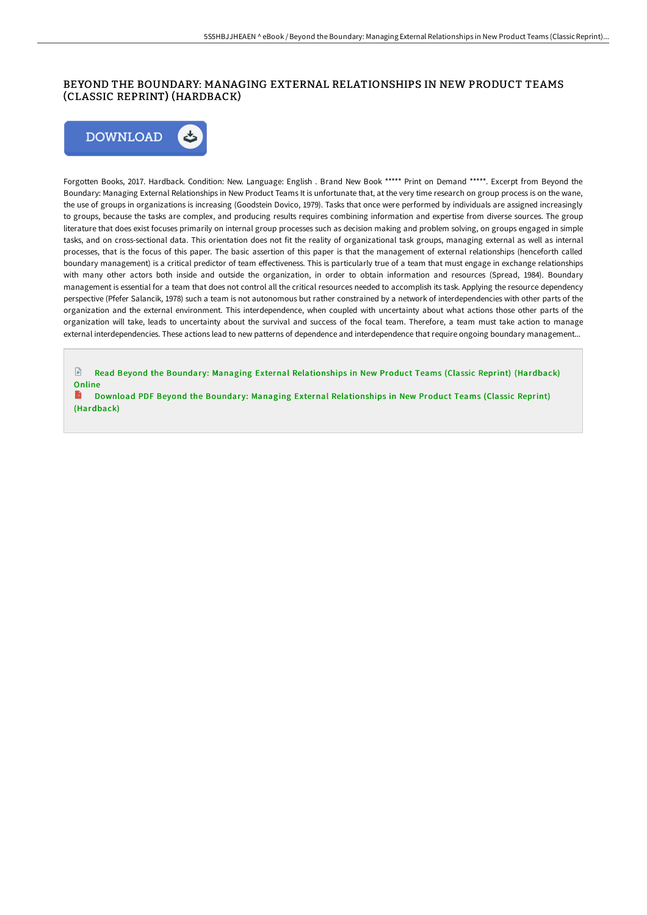### BEYOND THE BOUNDARY: MANAGING EXTERNAL RELATIONSHIPS IN NEW PRODUCT TEAMS (CLASSIC REPRINT) (HARDBACK)



Forgotten Books, 2017. Hardback. Condition: New. Language: English . Brand New Book \*\*\*\*\* Print on Demand \*\*\*\*\*. Excerpt from Beyond the Boundary: Managing External Relationships in New Product Teams It is unfortunate that, at the very time research on group process is on the wane, the use of groups in organizations is increasing (Goodstein Dovico, 1979). Tasks that once were performed by individuals are assigned increasingly to groups, because the tasks are complex, and producing results requires combining information and expertise from diverse sources. The group literature that does exist focuses primarily on internal group processes such as decision making and problem solving, on groups engaged in simple tasks, and on cross-sectional data. This orientation does not fit the reality of organizational task groups, managing external as well as internal processes, that is the focus of this paper. The basic assertion of this paper is that the management of external relationships (henceforth called boundary management) is a critical predictor of team effectiveness. This is particularly true of a team that must engage in exchange relationships with many other actors both inside and outside the organization, in order to obtain information and resources (Spread, 1984). Boundary management is essential for a team that does not control all the critical resources needed to accomplish its task. Applying the resource dependency perspective (Pfefer Salancik, 1978) such a team is not autonomous but rather constrained by a network of interdependencies with other parts of the organization and the external environment. This interdependence, when coupled with uncertainty about what actions those other parts of the organization will take, leads to uncertainty about the survival and success of the focal team. Therefore, a team must take action to manage external interdependencies. These actions lead to new patterns of dependence and interdependence that require ongoing boundary management...

 $\mathbb{R}$ Read Beyond the Boundary: Managing External [Relationships](http://techno-pub.tech/beyond-the-boundary-managing-external-relationsh.html) in New Product Teams (Classic Reprint) (Hardback) Online

 $\Rightarrow$ Download PDF Beyond the Boundary: Managing External [Relationships](http://techno-pub.tech/beyond-the-boundary-managing-external-relationsh.html) in New Product Teams (Classic Reprint) (Hardback)